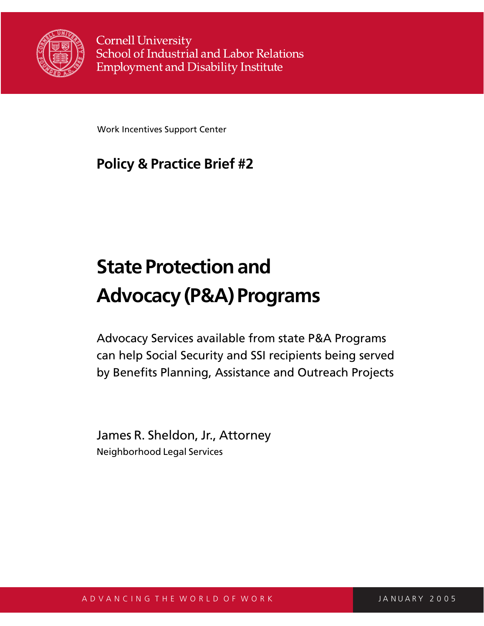

**Cornell University** School of Industrial and Labor Relations **Employment and Disability Institute** 

Work Incentives Support Center

# **Policy & Practice Brief #2**

# **State Protection and Advocacy (P&A) Programs**

Advocacy Services available from state P&A Programs can help Social Security and SSI recipients being served by Benefits Planning, Assistance and Outreach Projects

James R. Sheldon, Jr., Attorney Neighborhood Legal Services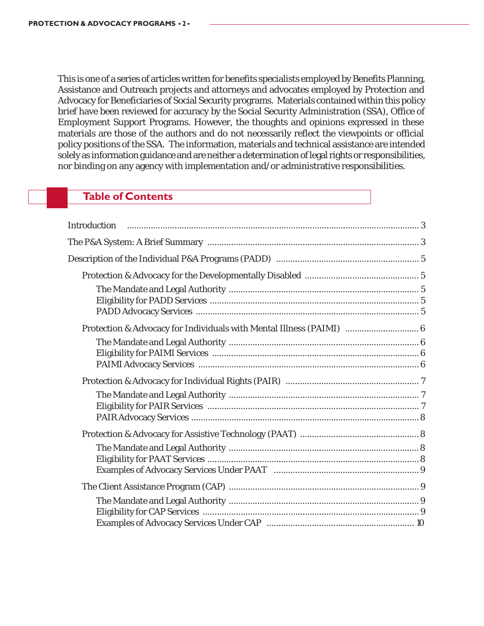This is one of a series of articles written for benefits specialists employed by Benefits Planning, Assistance and Outreach projects and attorneys and advocates employed by Protection and Advocacy for Beneficiaries of Social Security programs. Materials contained within this policy brief have been reviewed for accuracy by the Social Security Administration (SSA), Office of Employment Support Programs. However, the thoughts and opinions expressed in these materials are those of the authors and do not necessarily reflect the viewpoints or official policy positions of the SSA. The information, materials and technical assistance are intended solely as information guidance and are neither a determination of legal rights or responsibilities, nor binding on any agency with implementation and/or administrative responsibilities.

### **Table of Contents**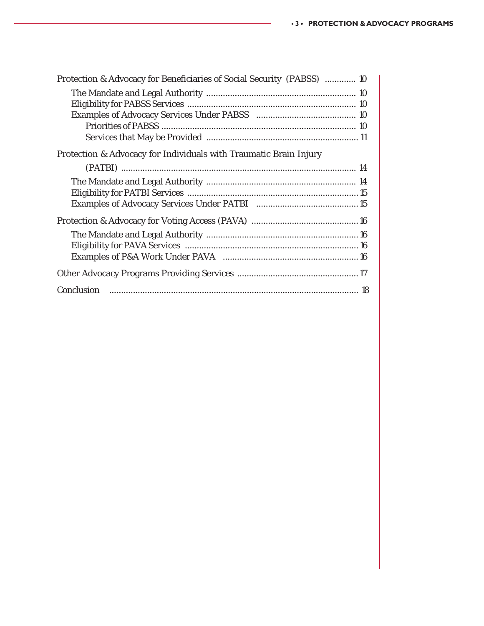| Protection & Advocacy for Beneficiaries of Social Security (PABSS)  10 |  |
|------------------------------------------------------------------------|--|
|                                                                        |  |
|                                                                        |  |
|                                                                        |  |
|                                                                        |  |
|                                                                        |  |
| Protection & Advocacy for Individuals with Traumatic Brain Injury      |  |
|                                                                        |  |
|                                                                        |  |
|                                                                        |  |
|                                                                        |  |
|                                                                        |  |
|                                                                        |  |
|                                                                        |  |
|                                                                        |  |
|                                                                        |  |
|                                                                        |  |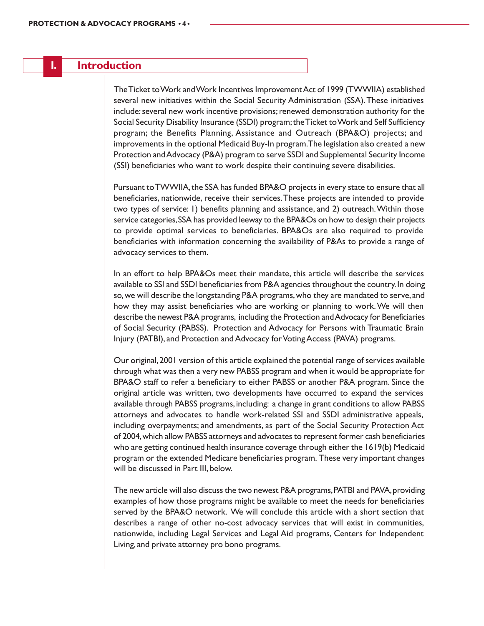#### **I. Introduction**

The Ticket to Work and Work Incentives Improvement Act of 1999 (TWWIIA) established several new initiatives within the Social Security Administration (SSA). These initiatives include: several new work incentive provisions; renewed demonstration authority for the Social Security Disability Insurance (SSDI) program; the Ticket to Work and Self Sufficiency program; the Benefits Planning, Assistance and Outreach (BPA&O) projects; and improvements in the optional Medicaid Buy-In program. The legislation also created a new Protection and Advocacy (P&A) program to serve SSDI and Supplemental Security Income (SSI) beneficiaries who want to work despite their continuing severe disabilities.

Pursuant to TWWIIA, the SSA has funded BPA&O projects in every state to ensure that all beneficiaries, nationwide, receive their services. These projects are intended to provide two types of service: 1) benefits planning and assistance, and 2) outreach. Within those service categories, SSA has provided leeway to the BPA&Os on how to design their projects to provide optimal services to beneficiaries. BPA&Os are also required to provide beneficiaries with information concerning the availability of P&As to provide a range of advocacy services to them.

In an effort to help BPA&Os meet their mandate, this article will describe the services available to SSI and SSDI beneficiaries from P&A agencies throughout the country. In doing so, we will describe the longstanding P&A programs, who they are mandated to serve, and how they may assist beneficiaries who are working or planning to work. We will then describe the newest P&A programs, including the Protection and Advocacy for Beneficiaries of Social Security (PABSS). Protection and Advocacy for Persons with Traumatic Brain Injury (PATBI), and Protection and Advocacy for Voting Access (PAVA) programs.

Our original, 2001 version of this article explained the potential range of services available through what was then a very new PABSS program and when it would be appropriate for BPA&O staff to refer a beneficiary to either PABSS or another P&A program. Since the original article was written, two developments have occurred to expand the services available through PABSS programs, including: a change in grant conditions to allow PABSS attorneys and advocates to handle work-related SSI and SSDI administrative appeals, including overpayments; and amendments, as part of the Social Security Protection Act of 2004, which allow PABSS attorneys and advocates to represent former cash beneficiaries who are getting continued health insurance coverage through either the 1619(b) Medicaid program or the extended Medicare beneficiaries program. These very important changes will be discussed in Part III, below.

The new article will also discuss the two newest P&A programs, PATBI and PAVA, providing examples of how those programs might be available to meet the needs for beneficiaries served by the BPA&O network. We will conclude this article with a short section that describes a range of other no-cost advocacy services that will exist in communities, nationwide, including Legal Services and Legal Aid programs, Centers for Independent Living, and private attorney pro bono programs.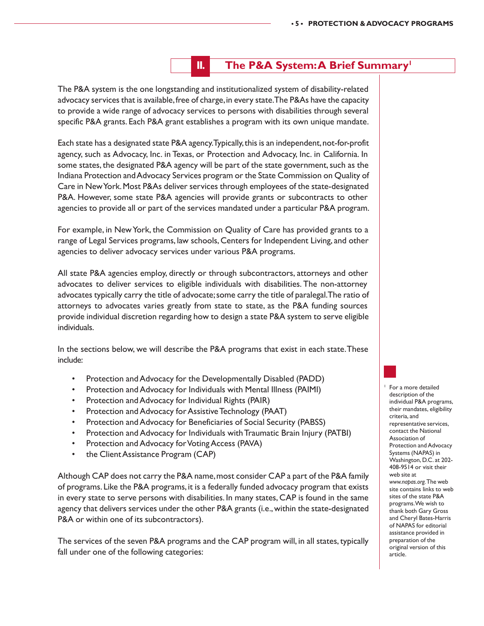### **II.** The P&A System: A Brief Summary<sup>1</sup>

The P&A system is the one longstanding and institutionalized system of disability-related advocacy services that is available, free of charge, in every state. The P&As have the capacity to provide a wide range of advocacy services to persons with disabilities through several specific P&A grants. Each P&A grant establishes a program with its own unique mandate.

Each state has a designated state P&A agency. Typically, this is an independent, not-for-profit agency, such as Advocacy, Inc. in Texas, or Protection and Advocacy, Inc. in California. In some states, the designated P&A agency will be part of the state government, such as the Indiana Protection and Advocacy Services program or the State Commission on Quality of Care in New York. Most P&As deliver services through employees of the state-designated P&A. However, some state P&A agencies will provide grants or subcontracts to other agencies to provide all or part of the services mandated under a particular P&A program.

For example, in New York, the Commission on Quality of Care has provided grants to a range of Legal Services programs, law schools, Centers for Independent Living, and other agencies to deliver advocacy services under various P&A programs.

All state P&A agencies employ, directly or through subcontractors, attorneys and other advocates to deliver services to eligible individuals with disabilities. The non-attorney advocates typically carry the title of advocate; some carry the title of paralegal. The ratio of attorneys to advocates varies greatly from state to state, as the P&A funding sources provide individual discretion regarding how to design a state P&A system to serve eligible individuals.

In the sections below, we will describe the P&A programs that exist in each state. These include:

- Protection and Advocacy for the Developmentally Disabled (PADD)
- Protection and Advocacy for Individuals with Mental Illness (PAIMI)
- Protection and Advocacy for Individual Rights (PAIR)
- Protection and Advocacy for Assistive Technology (PAAT)
- Protection and Advocacy for Beneficiaries of Social Security (PABSS)
- Protection and Advocacy for Individuals with Traumatic Brain Injury (PATBI)
- Protection and Advocacy for Voting Access (PAVA)
- the Client Assistance Program (CAP)

Although CAP does not carry the P&A name, most consider CAP a part of the P&A family of programs. Like the P&A programs, it is a federally funded advocacy program that exists in every state to serve persons with disabilities. In many states, CAP is found in the same agency that delivers services under the other P&A grants (i.e., within the state-designated P&A or within one of its subcontractors).

The services of the seven P&A programs and the CAP program will, in all states, typically fall under one of the following categories:

For a more detailed description of the individual P&A programs, their mandates, eligibility criteria, and representative services, contact the National Association of Protection and Advocacy Systems (NAPAS) in Washington, D.C. at 202- 408-9514 or visit their web site at *www.napas.org.* The web site contains links to web sites of the state P&A programs. We wish to thank both Gary Gross and Cheryl Bates-Harris of NAPAS for editorial assistance provided in preparation of the original version of this article.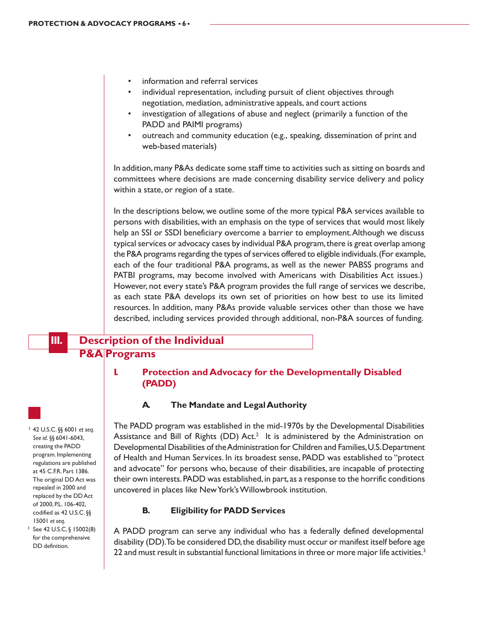- information and referral services
- individual representation, including pursuit of client objectives through negotiation, mediation, administrative appeals, and court actions
- investigation of allegations of abuse and neglect (primarily a function of the PADD and PAIMI programs)
- outreach and community education (e.g., speaking, dissemination of print and web-based materials)

In addition, many P&As dedicate some staff time to activities such as sitting on boards and committees where decisions are made concerning disability service delivery and policy within a state, or region of a state.

In the descriptions below, we outline some of the more typical P&A services available to persons with disabilities, with an emphasis on the type of services that would most likely help an SSI or SSDI beneficiary overcome a barrier to employment. Although we discuss typical services or advocacy cases by individual P&A program, there is great overlap among the P&A programs regarding the types of services offered to eligible individuals. (For example, each of the four traditional P&A programs, as well as the newer PABSS programs and PATBI programs, may become involved with Americans with Disabilities Act issues.) However, not every state's P&A program provides the full range of services we describe, as each state P&A develops its own set of priorities on how best to use its limited resources. In addition, many P&As provide valuable services other than those we have described, including services provided through additional, non-P&A sources of funding.

# **III. Description of the Individual P&A Programs**

#### **I. Protection and Advocacy for the Developmentally Disabled (PADD)**

#### **A. The Mandate and Legal Authority**

The PADD program was established in the mid-1970s by the Developmental Disabilities Assistance and Bill of Rights (DD)  $Act.^2$  It is administered by the Administration on Developmental Disabilities of the Administration for Children and Families, U.S. Department of Health and Human Services. In its broadest sense, PADD was established to "protect and advocate" for persons who, because of their disabilities, are incapable of protecting their own interests. PADD was established, in part, as a response to the horrific conditions uncovered in places like New York's Willowbrook institution.

#### **B. Eligibility for PADD Services**

A PADD program can serve any individual who has a federally defined developmental disability (DD). To be considered DD, the disability must occur or manifest itself before age 22 and must result in substantial functional limitations in three or more major life activities.<sup>3</sup>

<sup>2</sup> 42 U.S.C. §§ 6001 *et seq*. *See id*. §§ 6041-6043, creating the PADD program. Implementing regulations are published at 45 C.F.R. Part 1386. The original DD Act was repealed in 2000 and replaced by the DD Act of 2000, P.L. 106-402, codified as 42 U.S.C. §§ <sup>15001</sup>*et seq*. 3 See 42 U.S.C, § 15002(8)

for the comprehensive DD definition.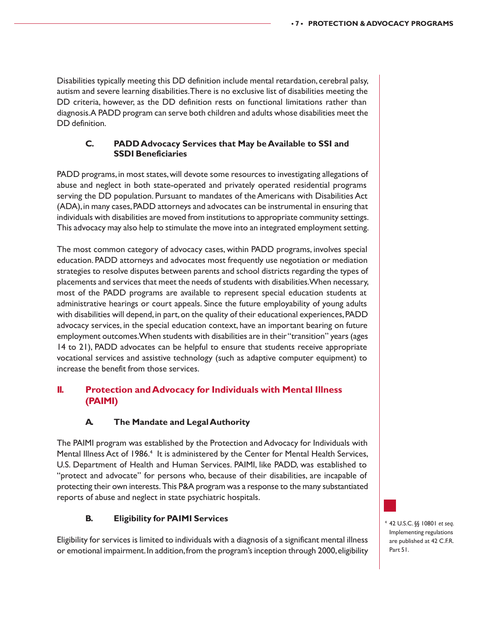Disabilities typically meeting this DD definition include mental retardation, cerebral palsy, autism and severe learning disabilities. There is no exclusive list of disabilities meeting the DD criteria, however, as the DD definition rests on functional limitations rather than diagnosis. A PADD program can serve both children and adults whose disabilities meet the DD definition.

#### **C. PADD Advocacy Services that May be Available to SSI and SSDI Beneficiaries**

PADD programs, in most states, will devote some resources to investigating allegations of abuse and neglect in both state-operated and privately operated residential programs serving the DD population. Pursuant to mandates of the Americans with Disabilities Act (ADA), in many cases, PADD attorneys and advocates can be instrumental in ensuring that individuals with disabilities are moved from institutions to appropriate community settings. This advocacy may also help to stimulate the move into an integrated employment setting.

The most common category of advocacy cases, within PADD programs, involves special education. PADD attorneys and advocates most frequently use negotiation or mediation strategies to resolve disputes between parents and school districts regarding the types of placements and services that meet the needs of students with disabilities. When necessary, most of the PADD programs are available to represent special education students at administrative hearings or court appeals. Since the future employability of young adults with disabilities will depend, in part, on the quality of their educational experiences, PADD advocacy services, in the special education context, have an important bearing on future employment outcomes. When students with disabilities are in their "transition" years (ages 14 to 21), PADD advocates can be helpful to ensure that students receive appropriate vocational services and assistive technology (such as adaptive computer equipment) to increase the benefit from those services.

#### **II. Protection and Advocacy for Individuals with Mental Illness (PAIMI)**

#### **A. The Mandate and Legal Authority**

The PAIMI program was established by the Protection and Advocacy for Individuals with Mental Illness Act of 1986.<sup>4</sup> It is administered by the Center for Mental Health Services, U.S. Department of Health and Human Services. PAIMI, like PADD, was established to "protect and advocate" for persons who, because of their disabilities, are incapable of protecting their own interests. This P&A program was a response to the many substantiated reports of abuse and neglect in state psychiatric hospitals.

#### **B. Eligibility for PAIMI Services**

Eligibility for services is limited to individuals with a diagnosis of a significant mental illness or emotional impairment. In addition, from the program's inception through 2000, eligibility

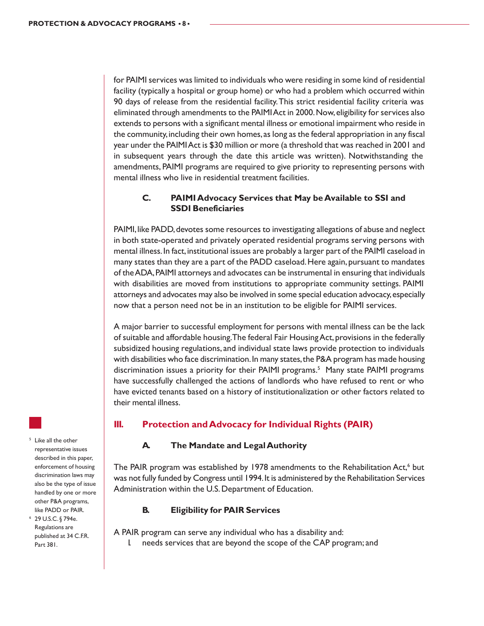for PAIMI services was limited to individuals who were residing in some kind of residential facility (typically a hospital or group home) or who had a problem which occurred within 90 days of release from the residential facility. This strict residential facility criteria was eliminated through amendments to the PAIMI Act in 2000. Now, eligibility for services also extends to persons with a significant mental illness or emotional impairment who reside in the community, including their own homes, as long as the federal appropriation in any fiscal year under the PAIMI Act is \$30 million or more (a threshold that was reached in 2001 and in subsequent years through the date this article was written). Notwithstanding the amendments, PAIMI programs are required to give priority to representing persons with mental illness who live in residential treatment facilities.

#### **C. PAIMI Advocacy Services that May be Available to SSI and SSDI Beneficiaries**

PAIMI, like PADD, devotes some resources to investigating allegations of abuse and neglect in both state-operated and privately operated residential programs serving persons with mental illness. In fact, institutional issues are probably a larger part of the PAIMI caseload in many states than they are a part of the PADD caseload. Here again, pursuant to mandates of the ADA, PAIMI attorneys and advocates can be instrumental in ensuring that individuals with disabilities are moved from institutions to appropriate community settings. PAIMI attorneys and advocates may also be involved in some special education advocacy, especially now that a person need not be in an institution to be eligible for PAIMI services.

A major barrier to successful employment for persons with mental illness can be the lack of suitable and affordable housing. The federal Fair Housing Act, provisions in the federally subsidized housing regulations, and individual state laws provide protection to individuals with disabilities who face discrimination. In many states, the P&A program has made housing discrimination issues a priority for their PAIMI programs.<sup>5</sup> Many state PAIMI programs have successfully challenged the actions of landlords who have refused to rent or who have evicted tenants based on a history of institutionalization or other factors related to their mental illness.

#### **III. Protection and Advocacy for Individual Rights (PAIR)**

#### **A. The Mandate and Legal Authority**

The PAIR program was established by 1978 amendments to the Rehabilitation Act,<sup>6</sup> but was not fully funded by Congress until 1994. It is administered by the Rehabilitation Services Administration within the U.S. Department of Education.

#### **B. Eligibility for PAIR Services**

A PAIR program can serve any individual who has a disability and:

I. needs services that are beyond the scope of the CAP program; and

<sup>5</sup> Like all the other representative issues described in this paper, enforcement of housing discrimination laws may also be the type of issue handled by one or more other P&A programs, like PADD or PAIR.

<sup>6</sup> 29 U.S.C. § 794e. Regulations are published at 34 C.F.R. Part 381.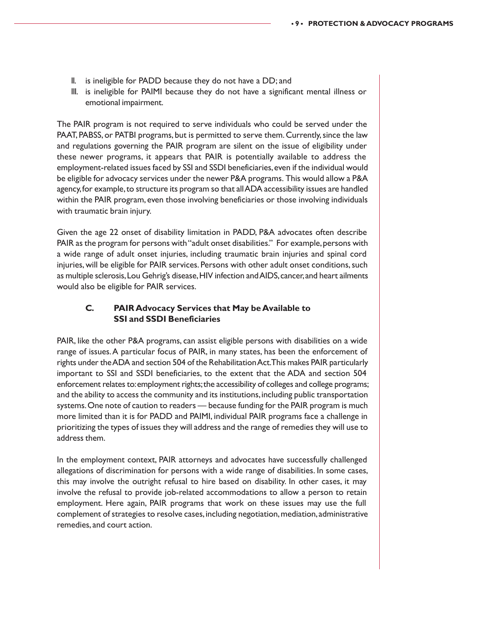- II. is ineligible for PADD because they do not have a DD; and
- III. is ineligible for PAIMI because they do not have a significant mental illness or emotional impairment.

The PAIR program is not required to serve individuals who could be served under the PAAT, PABSS, or PATBI programs, but is permitted to serve them. Currently, since the law and regulations governing the PAIR program are silent on the issue of eligibility under these newer programs, it appears that PAIR is potentially available to address the employment-related issues faced by SSI and SSDI beneficiaries, even if the individual would be eligible for advocacy services under the newer P&A programs. This would allow a P&A agency, for example, to structure its program so that all ADA accessibility issues are handled within the PAIR program, even those involving beneficiaries or those involving individuals with traumatic brain injury.

Given the age 22 onset of disability limitation in PADD, P&A advocates often describe PAIR as the program for persons with "adult onset disabilities." For example, persons with a wide range of adult onset injuries, including traumatic brain injuries and spinal cord injuries, will be eligible for PAIR services. Persons with other adult onset conditions, such as multiple sclerosis, Lou Gehrig's disease, HIV infection and AIDS, cancer, and heart ailments would also be eligible for PAIR services.

#### **C. PAIR Advocacy Services that May be Available to SSI and SSDI Beneficiaries**

PAIR, like the other P&A programs, can assist eligible persons with disabilities on a wide range of issues. A particular focus of PAIR, in many states, has been the enforcement of rights under the ADA and section 504 of the Rehabilitation Act. This makes PAIR particularly important to SSI and SSDI beneficiaries, to the extent that the ADA and section 504 enforcement relates to: employment rights; the accessibility of colleges and college programs; and the ability to access the community and its institutions, including public transportation systems. One note of caution to readers — because funding for the PAIR program is much more limited than it is for PADD and PAIMI, individual PAIR programs face a challenge in prioritizing the types of issues they will address and the range of remedies they will use to address them.

In the employment context, PAIR attorneys and advocates have successfully challenged allegations of discrimination for persons with a wide range of disabilities. In some cases, this may involve the outright refusal to hire based on disability. In other cases, it may involve the refusal to provide job-related accommodations to allow a person to retain employment. Here again, PAIR programs that work on these issues may use the full complement of strategies to resolve cases, including negotiation, mediation, administrative remedies, and court action.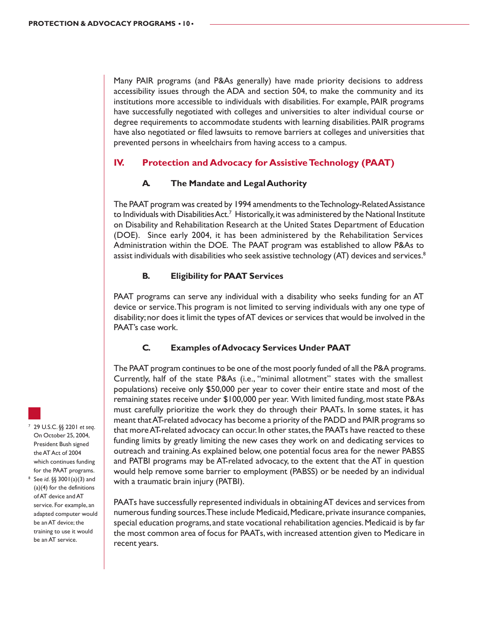Many PAIR programs (and P&As generally) have made priority decisions to address accessibility issues through the ADA and section 504, to make the community and its institutions more accessible to individuals with disabilities. For example, PAIR programs have successfully negotiated with colleges and universities to alter individual course or degree requirements to accommodate students with learning disabilities. PAIR programs have also negotiated or filed lawsuits to remove barriers at colleges and universities that prevented persons in wheelchairs from having access to a campus.

#### **IV. Protection and Advocacy for Assistive Technology (PAAT)**

#### **A. The Mandate and Legal Authority**

The PAAT program was created by 1994 amendments to the Technology-Related Assistance to Individuals with Disabilities Act.<sup>7</sup> Historically, it was administered by the National Institute on Disability and Rehabilitation Research at the United States Department of Education (DOE). Since early 2004, it has been administered by the Rehabilitation Services Administration within the DOE. The PAAT program was established to allow P&As to assist individuals with disabilities who seek assistive technology (AT) devices and services.<sup>8</sup>

#### **B. Eligibility for PAAT Services**

PAAT programs can serve any individual with a disability who seeks funding for an AT device or service. This program is not limited to serving individuals with any one type of disability; nor does it limit the types of AT devices or services that would be involved in the PAAT's case work.

#### **C. Examples of Advocacy Services Under PAAT**

The PAAT program continues to be one of the most poorly funded of all the P&A programs. Currently, half of the state P&As (i.e., "minimal allotment" states with the smallest populations) receive only \$50,000 per year to cover their entire state and most of the remaining states receive under \$100,000 per year. With limited funding, most state P&As must carefully prioritize the work they do through their PAATs. In some states, it has meant that AT-related advocacy has become a priority of the PADD and PAIR programs so that more AT-related advocacy can occur. In other states, the PAATs have reacted to these funding limits by greatly limiting the new cases they work on and dedicating services to outreach and training. As explained below, one potential focus area for the newer PABSS and PATBI programs may be AT-related advocacy, to the extent that the AT in question would help remove some barrier to employment (PABSS) or be needed by an individual with a traumatic brain injury (PATBI).

PAATs have successfully represented individuals in obtaining AT devices and services from numerous funding sources. These include Medicaid, Medicare, private insurance companies, special education programs, and state vocational rehabilitation agencies. Medicaid is by far the most common area of focus for PAATs, with increased attention given to Medicare in recent years.

<sup>7</sup> 29 U.S.C. §§ 2201 *et seq*. On October 25, 2004, President Bush signed the AT Act of 2004 which continues funding for the PAAT programs. <sup>8</sup> See *id*. §§ 3001(a)(3) and (a)(4) for the definitions of AT device and AT

service. For example, an adapted computer would be an AT device; the training to use it would be an AT service.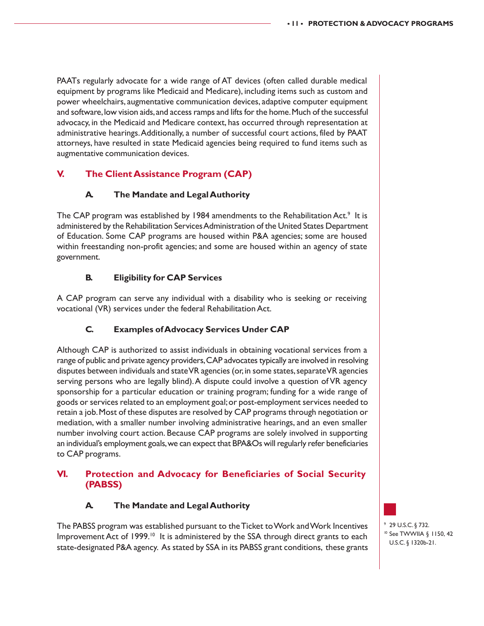PAATs regularly advocate for a wide range of AT devices (often called durable medical equipment by programs like Medicaid and Medicare), including items such as custom and power wheelchairs, augmentative communication devices, adaptive computer equipment and software, low vision aids, and access ramps and lifts for the home. Much of the successful advocacy, in the Medicaid and Medicare context, has occurred through representation at administrative hearings. Additionally, a number of successful court actions, filed by PAAT attorneys, have resulted in state Medicaid agencies being required to fund items such as augmentative communication devices.

### **V. The Client Assistance Program (CAP)**

#### **A. The Mandate and Legal Authority**

The CAP program was established by 1984 amendments to the Rehabilitation Act.<sup>9</sup> It is administered by the Rehabilitation Services Administration of the United States Department of Education. Some CAP programs are housed within P&A agencies; some are housed within freestanding non-profit agencies; and some are housed within an agency of state government.

#### **B. Eligibility for CAP Services**

A CAP program can serve any individual with a disability who is seeking or receiving vocational (VR) services under the federal Rehabilitation Act.

#### **C. Examples of Advocacy Services Under CAP**

Although CAP is authorized to assist individuals in obtaining vocational services from a range of public and private agency providers, CAP advocates typically are involved in resolving disputes between individuals and state VR agencies (or, in some states, separate VR agencies serving persons who are legally blind). A dispute could involve a question of VR agency sponsorship for a particular education or training program; funding for a wide range of goods or services related to an employment goal; or post-employment services needed to retain a job. Most of these disputes are resolved by CAP programs through negotiation or mediation, with a smaller number involving administrative hearings, and an even smaller number involving court action. Because CAP programs are solely involved in supporting an individual's employment goals, we can expect that BPA&Os will regularly refer beneficiaries to CAP programs.

#### **VI. Protection and Advocacy for Beneficiaries of Social Security (PABSS)**

#### **A. The Mandate and Legal Authority**

The PABSS program was established pursuant to the Ticket to Work and Work Incentives Improvement Act of 1999.<sup>10</sup> It is administered by the SSA through direct grants to each state-designated P&A agency. As stated by SSA in its PABSS grant conditions, these grants

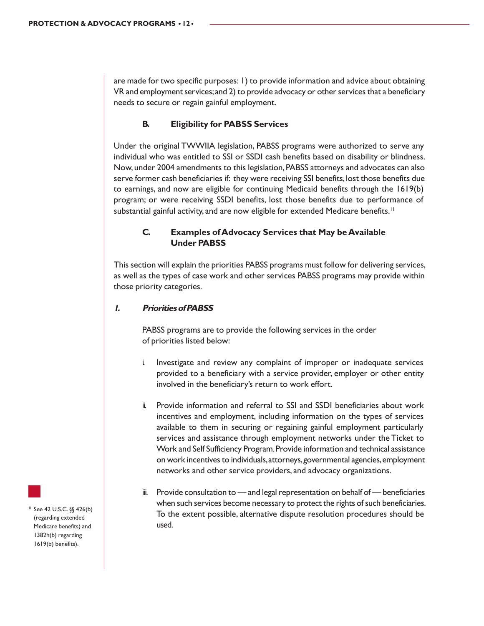are made for two specific purposes: 1) to provide information and advice about obtaining VR and employment services; and 2) to provide advocacy or other services that a beneficiary needs to secure or regain gainful employment.

#### **B. Eligibility for PABSS Services**

Under the original TWWIIA legislation, PABSS programs were authorized to serve any individual who was entitled to SSI or SSDI cash benefits based on disability or blindness. Now, under 2004 amendments to this legislation, PABSS attorneys and advocates can also serve former cash beneficiaries if: they were receiving SSI benefits, lost those benefits due to earnings, and now are eligible for continuing Medicaid benefits through the 1619(b) program; or were receiving SSDI benefits, lost those benefits due to performance of substantial gainful activity, and are now eligible for extended Medicare benefits.<sup>11</sup>

#### **C. Examples of Advocacy Services that May be Available Under PABSS**

This section will explain the priorities PABSS programs must follow for delivering services, as well as the types of case work and other services PABSS programs may provide within those priority categories.

#### **1. Priorities of PABSS**

PABSS programs are to provide the following services in the order of priorities listed below:

- i. Investigate and review any complaint of improper or inadequate services provided to a beneficiary with a service provider, employer or other entity involved in the beneficiary's return to work effort.
- ii. Provide information and referral to SSI and SSDI beneficiaries about work incentives and employment, including information on the types of services available to them in securing or regaining gainful employment particularly services and assistance through employment networks under the Ticket to Work and Self Sufficiency Program. Provide information and technical assistance on work incentives to individuals, attorneys, governmental agencies, employment networks and other service providers, and advocacy organizations.
- iii. Provide consultation to and legal representation on behalf of beneficiaries when such services become necessary to protect the rights of such beneficiaries. To the extent possible, alternative dispute resolution procedures should be used.

<sup>11</sup> See 42 U.S.C. §§ 426(b) (regarding extended Medicare benefits) and 1382h(b) regarding 1619(b) benefits).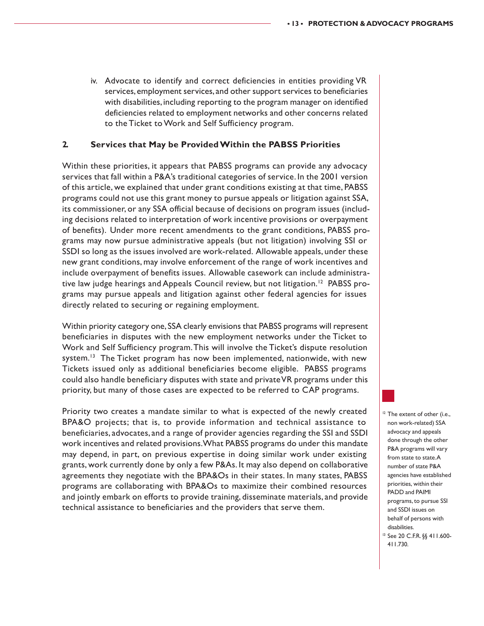iv. Advocate to identify and correct deficiencies in entities providing VR services, employment services, and other support services to beneficiaries with disabilities, including reporting to the program manager on identified deficiencies related to employment networks and other concerns related to the Ticket to Work and Self Sufficiency program.

#### **2. Services that May be Provided Within the PABSS Priorities**

Within these priorities, it appears that PABSS programs can provide any advocacy services that fall within a P&A's traditional categories of service. In the 2001 version of this article, we explained that under grant conditions existing at that time, PABSS programs could not use this grant money to pursue appeals or litigation against SSA, its commissioner, or any SSA official because of decisions on program issues (including decisions related to interpretation of work incentive provisions or overpayment of benefits). Under more recent amendments to the grant conditions, PABSS programs may now pursue administrative appeals (but not litigation) involving SSI or SSDI so long as the issues involved are work-related. Allowable appeals, under these new grant conditions, may involve enforcement of the range of work incentives and include overpayment of benefits issues. Allowable casework can include administrative law judge hearings and Appeals Council review, but not litigation.<sup>12</sup> PABSS programs may pursue appeals and litigation against other federal agencies for issues directly related to securing or regaining employment.

Within priority category one, SSA clearly envisions that PABSS programs will represent beneficiaries in disputes with the new employment networks under the Ticket to Work and Self Sufficiency program. This will involve the Ticket's dispute resolution system.<sup>13</sup> The Ticket program has now been implemented, nationwide, with new Tickets issued only as additional beneficiaries become eligible. PABSS programs could also handle beneficiary disputes with state and private VR programs under this priority, but many of those cases are expected to be referred to CAP programs.

Priority two creates a mandate similar to what is expected of the newly created BPA&O projects; that is, to provide information and technical assistance to beneficiaries, advocates, and a range of provider agencies regarding the SSI and SSDI work incentives and related provisions. What PABSS programs do under this mandate may depend, in part, on previous expertise in doing similar work under existing grants, work currently done by only a few P&As. It may also depend on collaborative agreements they negotiate with the BPA&Os in their states. In many states, PABSS programs are collaborating with BPA&Os to maximize their combined resources and jointly embark on efforts to provide training, disseminate materials, and provide technical assistance to beneficiaries and the providers that serve them.

<sup>12</sup> The extent of other (i.e., non work-related) SSA advocacy and appeals done through the other P&A programs will vary from state to state. A number of state P&A agencies have established priorities, within their PADD and PAIMI programs, to pursue SSI and SSDI issues on behalf of persons with disabilities.

<sup>13</sup> See 20 C.F.R. §§ 411.600- 411.730.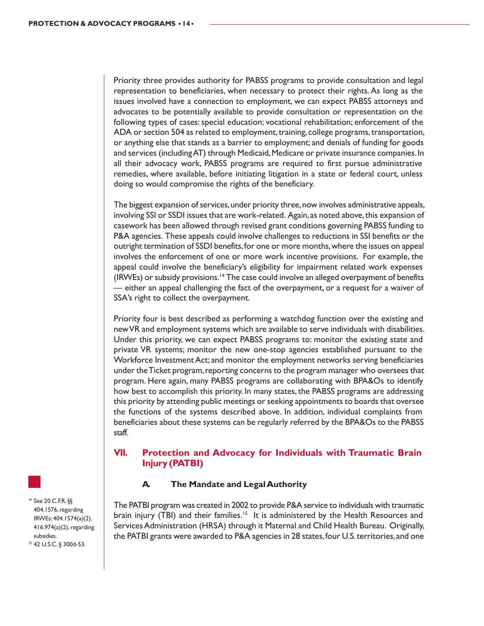Priority three provides authority for PABSS programs to provide consultation and legal representation to beneficiaries, when necessary to protect their rights. As long as the issues involved have a connection to employment, we can expect PABSS attorneys and advocates to be potentially available to provide consultation or representation on the following types of cases: special education; vocational rehabilitation; enforcement of the ADA or section 504 as related to employment, training, college programs, transportation, or anything else that stands as a barrier to employment; and denials of funding for goods and services (including AT) through Medicaid, Medicare or private insurance companies. In all their advocacy work, PABSS programs are required to first pursue administrative remedies, where available, before initiating litigation in a state or federal court, unless doing so would compromise the rights of the beneficiary.

The biggest expansion of services, under priority three, now involves administrative appeals, involving SSI or SSDI issues that are work-related. Again, as noted above, this expansion of casework has been allowed through revised grant conditions governing PABSS funding to P&A agencies. These appeals could involve challenges to reductions in SSI benefits or the outright termination of SSDI benefits, for one or more months, where the issues on appeal involves the enforcement of one or more work incentive provisions. For example, the appeal could involve the beneficiary's eligibility for impairment related work expenses  $(IRWEs)$  or subsidy provisions.<sup>14</sup> The case could involve an alleged overpayment of benefits — either an appeal challenging the fact of the overpayment, or a request for a waiver of SSA's right to collect the overpayment.

Priority four is best described as performing a watchdog function over the existing and new VR and employment systems which are available to serve individuals with disabilities. Under this priority, we can expect PABSS programs to: monitor the existing state and private VR systems; monitor the new one-stop agencies established pursuant to the Workforce Investment Act; and monitor the employment networks serving beneficiaries under the Ticket program, reporting concerns to the program manager who oversees that program. Here again, many PABSS programs are collaborating with BPA&Os to identify how best to accomplish this priority. In many states, the PABSS programs are addressing this priority by attending public meetings or seeking appointments to boards that oversee the functions of the systems described above. In addition, individual complaints from beneficiaries about these systems can be regularly referred by the BPA&Os to the PABSS staff.

#### **VII. Protection and Advocacy for Individuals with Traumatic Brain Injury (PATBI)**

#### **A. The Mandate and Legal Authority**

The PATBI program was created in 2002 to provide P&A service to individuals with traumatic brain injury (TBI) and their families.<sup>15</sup> It is administered by the Health Resources and Services Administration (HRSA) through it Maternal and Child Health Bureau. Originally, the PATBI grants were awarded to P&A agencies in 28 states, four U.S. territories, and one

<sup>14</sup> See 20 C.F.R. §§ 404.1576, regarding IRWEs; 404.1574(a)(2), 416.974(a)(2), regarding subsidies. <sup>15</sup> 42 U.S.C. § 300d-53.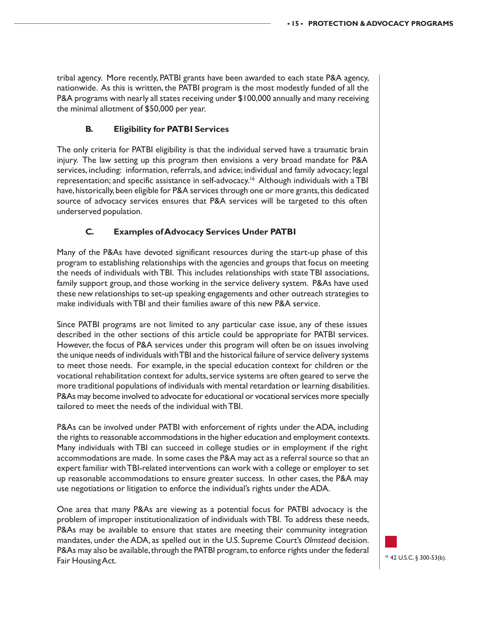tribal agency. More recently, PATBI grants have been awarded to each state P&A agency, nationwide. As this is written, the PATBI program is the most modestly funded of all the P&A programs with nearly all states receiving under \$100,000 annually and many receiving the minimal allotment of \$50,000 per year.

#### **B. Eligibility for PATBI Services**

The only criteria for PATBI eligibility is that the individual served have a traumatic brain injury. The law setting up this program then envisions a very broad mandate for P&A services, including: information, referrals, and advice; individual and family advocacy; legal representation; and specific assistance in self-advocacy.16 Although individuals with a TBI have, historically, been eligible for P&A services through one or more grants, this dedicated source of advocacy services ensures that P&A services will be targeted to this often underserved population.

#### **C. Examples of Advocacy Services Under PATBI**

Many of the P&As have devoted significant resources during the start-up phase of this program to establishing relationships with the agencies and groups that focus on meeting the needs of individuals with TBI. This includes relationships with state TBI associations, family support group, and those working in the service delivery system. P&As have used these new relationships to set-up speaking engagements and other outreach strategies to make individuals with TBI and their families aware of this new P&A service.

Since PATBI programs are not limited to any particular case issue, any of these issues described in the other sections of this article could be appropriate for PATBI services. However, the focus of P&A services under this program will often be on issues involving the unique needs of individuals with TBI and the historical failure of service delivery systems to meet those needs. For example, in the special education context for children or the vocational rehabilitation context for adults, service systems are often geared to serve the more traditional populations of individuals with mental retardation or learning disabilities. P&As may become involved to advocate for educational or vocational services more specially tailored to meet the needs of the individual with TBI.

P&As can be involved under PATBI with enforcement of rights under the ADA, including the rights to reasonable accommodations in the higher education and employment contexts. Many individuals with TBI can succeed in college studies or in employment if the right accommodations are made. In some cases the P&A may act as a referral source so that an expert familiar with TBI-related interventions can work with a college or employer to set up reasonable accommodations to ensure greater success. In other cases, the P&A may use negotiations or litigation to enforce the individual's rights under the ADA.

One area that many P&As are viewing as a potential focus for PATBI advocacy is the problem of improper institutionalization of individuals with TBI. To address these needs, P&As may be available to ensure that states are meeting their community integration mandates, under the ADA, as spelled out in the U.S. Supreme Court's *Olmstead* decision. P&As may also be available, through the PATBI program, to enforce rights under the federal Fair Housing Act.

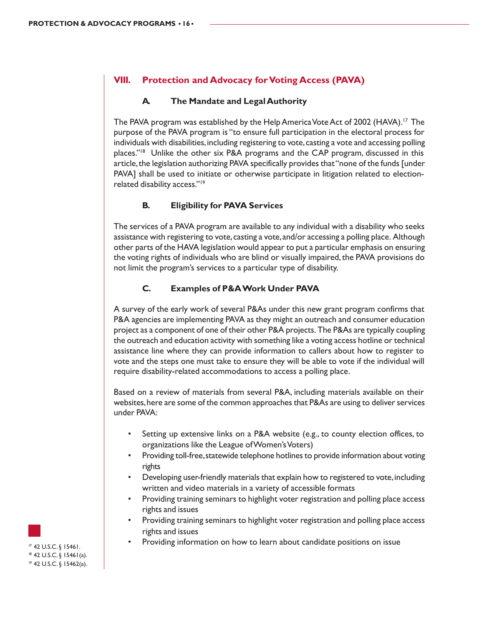#### **VIII. Protection and Advocacy for Voting Access (PAVA)**

#### **A. The Mandate and Legal Authority**

The PAVA program was established by the Help America Vote Act of 2002 (HAVA).17 The purpose of the PAVA program is "to ensure full participation in the electoral process for individuals with disabilities, including registering to vote, casting a vote and accessing polling places."18 Unlike the other six P&A programs and the CAP program, discussed in this article, the legislation authorizing PAVA specifically provides that "none of the funds [under PAVA] shall be used to initiate or otherwise participate in litigation related to electionrelated disability access."19

#### **B. Eligibility for PAVA Services**

The services of a PAVA program are available to any individual with a disability who seeks assistance with registering to vote, casting a vote, and/or accessing a polling place. Although other parts of the HAVA legislation would appear to put a particular emphasis on ensuring the voting rights of individuals who are blind or visually impaired, the PAVA provisions do not limit the program's services to a particular type of disability.

#### **C. Examples of P&A Work Under PAVA**

A survey of the early work of several P&As under this new grant program confirms that P&A agencies are implementing PAVA as they might an outreach and consumer education project as a component of one of their other P&A projects. The P&As are typically coupling the outreach and education activity with something like a voting access hotline or technical assistance line where they can provide information to callers about how to register to vote and the steps one must take to ensure they will be able to vote if the individual will require disability-related accommodations to access a polling place.

Based on a review of materials from several P&A, including materials available on their websites, here are some of the common approaches that P&As are using to deliver services under PAVA:

- Setting up extensive links on a P&A website (e.g., to county election offices, to organizations like the League of Women's Voters)
- Providing toll-free, statewide telephone hotlines to provide information about voting rights
- Developing user-friendly materials that explain how to registered to vote, including written and video materials in a variety of accessible formats
- Providing training seminars to highlight voter registration and polling place access rights and issues
- Providing training seminars to highlight voter registration and polling place access rights and issues
- $\mathbb{P}$  42 U.S.C. § 15461.  $\blacksquare$  Providing information on how to learn about candidate positions on issue

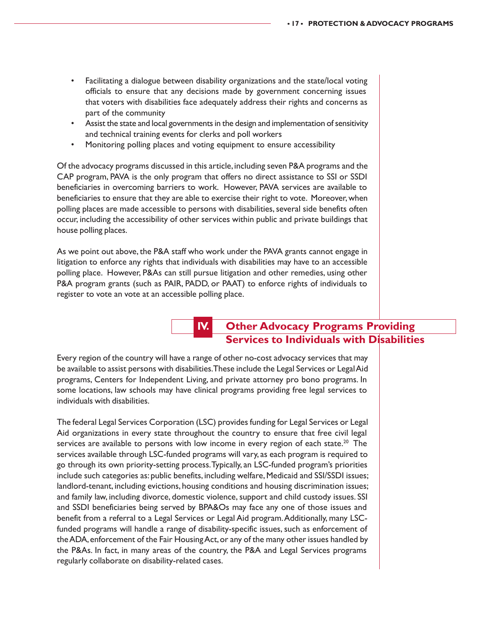- Facilitating a dialogue between disability organizations and the state/local voting officials to ensure that any decisions made by government concerning issues that voters with disabilities face adequately address their rights and concerns as part of the community
- Assist the state and local governments in the design and implementation of sensitivity and technical training events for clerks and poll workers
- Monitoring polling places and voting equipment to ensure accessibility

Of the advocacy programs discussed in this article, including seven P&A programs and the CAP program, PAVA is the only program that offers no direct assistance to SSI or SSDI beneficiaries in overcoming barriers to work. However, PAVA services are available to beneficiaries to ensure that they are able to exercise their right to vote. Moreover, when polling places are made accessible to persons with disabilities, several side benefits often occur, including the accessibility of other services within public and private buildings that house polling places.

As we point out above, the P&A staff who work under the PAVA grants cannot engage in litigation to enforce any rights that individuals with disabilities may have to an accessible polling place. However, P&As can still pursue litigation and other remedies, using other P&A program grants (such as PAIR, PADD, or PAAT) to enforce rights of individuals to register to vote an vote at an accessible polling place.

# **IV. Other Advocacy Programs Providing Services to Individuals with Disabilities**

Every region of the country will have a range of other no-cost advocacy services that may be available to assist persons with disabilities. These include the Legal Services or Legal Aid programs, Centers for Independent Living, and private attorney pro bono programs. In some locations, law schools may have clinical programs providing free legal services to individuals with disabilities.

The federal Legal Services Corporation (LSC) provides funding for Legal Services or Legal Aid organizations in every state throughout the country to ensure that free civil legal services are available to persons with low income in every region of each state.<sup>20</sup> The services available through LSC-funded programs will vary, as each program is required to go through its own priority-setting process. Typically, an LSC-funded program's priorities include such categories as: public benefits, including welfare, Medicaid and SSI/SSDI issues; landlord-tenant, including evictions, housing conditions and housing discrimination issues; and family law, including divorce, domestic violence, support and child custody issues. SSI and SSDI beneficiaries being served by BPA&Os may face any one of those issues and benefit from a referral to a Legal Services or Legal Aid program. Additionally, many LSCfunded programs will handle a range of disability-specific issues, such as enforcement of the ADA, enforcement of the Fair Housing Act, or any of the many other issues handled by the P&As. In fact, in many areas of the country, the P&A and Legal Services programs regularly collaborate on disability-related cases.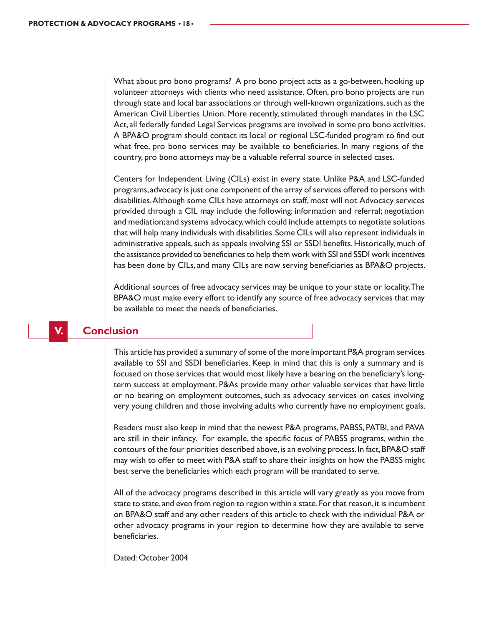What about pro bono programs? A pro bono project acts as a go-between, hooking up volunteer attorneys with clients who need assistance. Often, pro bono projects are run through state and local bar associations or through well-known organizations, such as the American Civil Liberties Union. More recently, stimulated through mandates in the LSC Act, all federally funded Legal Services programs are involved in some pro bono activities. A BPA&O program should contact its local or regional LSC-funded program to find out what free, pro bono services may be available to beneficiaries. In many regions of the country, pro bono attorneys may be a valuable referral source in selected cases.

Centers for Independent Living (CILs) exist in every state. Unlike P&A and LSC-funded programs, advocacy is just one component of the array of services offered to persons with disabilities. Although some CILs have attorneys on staff, most will not. Advocacy services provided through a CIL may include the following: information and referral; negotiation and mediation; and systems advocacy, which could include attempts to negotiate solutions that will help many individuals with disabilities. Some CILs will also represent individuals in administrative appeals, such as appeals involving SSI or SSDI benefits. Historically, much of the assistance provided to beneficiaries to help them work with SSI and SSDI work incentives has been done by CILs, and many CILs are now serving beneficiaries as BPA&O projects.

Additional sources of free advocacy services may be unique to your state or locality. The BPA&O must make every effort to identify any source of free advocacy services that may be available to meet the needs of beneficiaries.

#### **V. Conclusion**

This article has provided a summary of some of the more important P&A program services available to SSI and SSDI beneficiaries. Keep in mind that this is only a summary and is focused on those services that would most likely have a bearing on the beneficiary's longterm success at employment. P&As provide many other valuable services that have little or no bearing on employment outcomes, such as advocacy services on cases involving very young children and those involving adults who currently have no employment goals.

Readers must also keep in mind that the newest P&A programs, PABSS, PATBI, and PAVA are still in their infancy. For example, the specific focus of PABSS programs, within the contours of the four priorities described above, is an evolving process. In fact, BPA&O staff may wish to offer to meet with P&A staff to share their insights on how the PABSS might best serve the beneficiaries which each program will be mandated to serve.

All of the advocacy programs described in this article will vary greatly as you move from state to state, and even from region to region within a state. For that reason, it is incumbent on BPA&O staff and any other readers of this article to check with the individual P&A or other advocacy programs in your region to determine how they are available to serve beneficiaries.

Dated: October 2004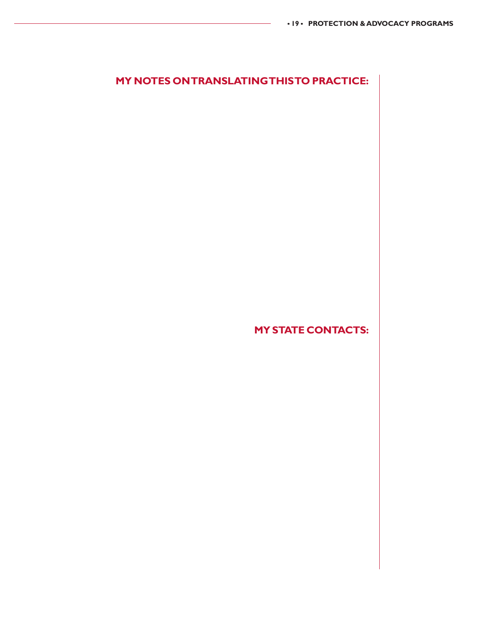# **MY NOTES ON TRANSLATING THIS TO PRACTICE:**

**MY STATE CONTACTS:**